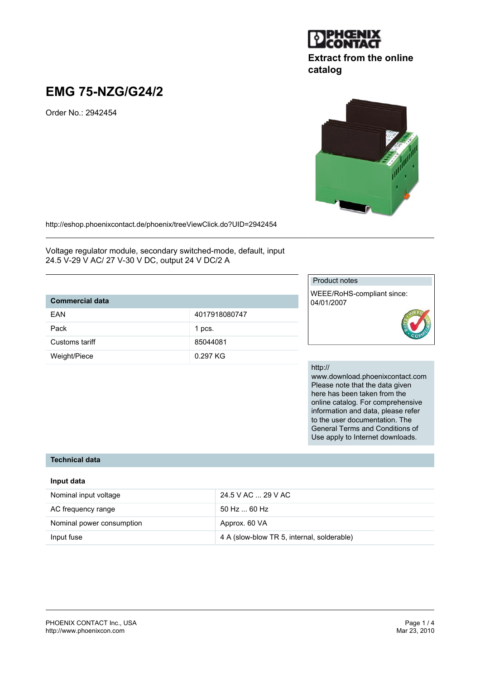

# **Extract from the online catalog**

# **EMG 75-NZG/G24/2**

Order No.: 2942454



http://eshop.phoenixcontact.de/phoenix/treeViewClick.do?UID=2942454

Voltage regulator module, secondary switched-mode, default, input 24.5 V-29 V AC/ 27 V-30 V DC, output 24 V DC/2 A

## **Commercial data**

| 991111919191944 |               |
|-----------------|---------------|
| FAN             | 4017918080747 |
| Pack            | 1 pcs.        |
| Customs tariff  | 85044081      |
| Weight/Piece    | $0.297$ KG    |

## Product notes

WEEE/RoHS-compliant since: 04/01/2007



#### http://

www.download.phoenixcontact.com Please note that the data given here has been taken from the online catalog. For comprehensive information and data, please refer to the user documentation. The General Terms and Conditions of Use apply to Internet downloads.

#### **Technical data**

| Input data                |                                            |
|---------------------------|--------------------------------------------|
| Nominal input voltage     | 24.5 V AC  29 V AC                         |
| AC frequency range        | $50$ Hz $\dots$ 60 Hz                      |
| Nominal power consumption | Approx. 60 VA                              |
| Input fuse                | 4 A (slow-blow TR 5, internal, solderable) |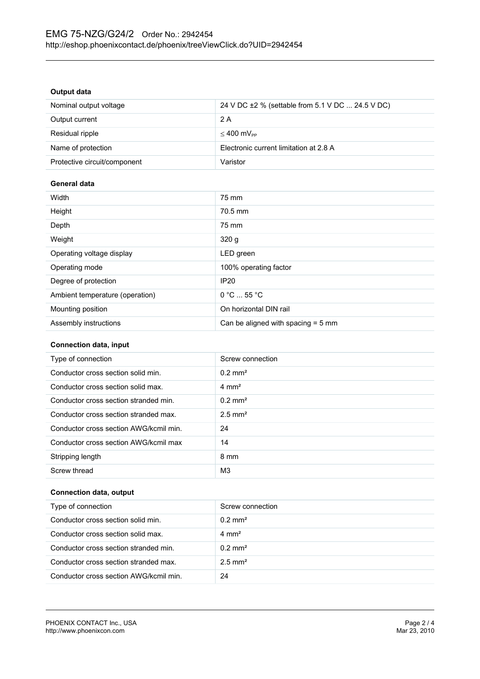#### **Output data**

| Nominal output voltage       | 24 V DC ±2 % (settable from 5.1 V DC  24.5 V DC) |
|------------------------------|--------------------------------------------------|
| Output current               | 2 A                                              |
| Residual ripple              | $≤ 400$ mV <sub>pp</sub>                         |
| Name of protection           | Electronic current limitation at 2.8 A           |
| Protective circuit/component | Varistor                                         |

#### **General data**

| Width                           | 75 mm                                |
|---------------------------------|--------------------------------------|
| Height                          | 70.5 mm                              |
| Depth                           | 75 mm                                |
| Weight                          | 320q                                 |
| Operating voltage display       | LED green                            |
| Operating mode                  | 100% operating factor                |
| Degree of protection            | <b>IP20</b>                          |
| Ambient temperature (operation) | 0 °C  55 °C                          |
| Mounting position               | On horizontal DIN rail               |
| Assembly instructions           | Can be aligned with spacing $=$ 5 mm |

#### **Connection data, input**

| Type of connection                     | Screw connection      |
|----------------------------------------|-----------------------|
| Conductor cross section solid min.     | $0.2$ mm <sup>2</sup> |
| Conductor cross section solid max.     | $4 \text{ mm}^2$      |
| Conductor cross section stranded min.  | $0.2 \text{ mm}^2$    |
| Conductor cross section stranded max.  | $2.5$ mm <sup>2</sup> |
| Conductor cross section AWG/kcmil min. | 24                    |
| Conductor cross section AWG/kcmil max  | 14                    |
| Stripping length                       | 8 mm                  |
| Screw thread                           | M <sub>3</sub>        |

#### **Connection data, output**

| Type of connection                     | Screw connection      |
|----------------------------------------|-----------------------|
| Conductor cross section solid min.     | $0.2 \text{ mm}^2$    |
| Conductor cross section solid max.     | $4 \text{ mm}^2$      |
| Conductor cross section stranded min.  | $0.2 \text{ mm}^2$    |
| Conductor cross section stranded max.  | $2.5$ mm <sup>2</sup> |
| Conductor cross section AWG/kcmil min. | 24                    |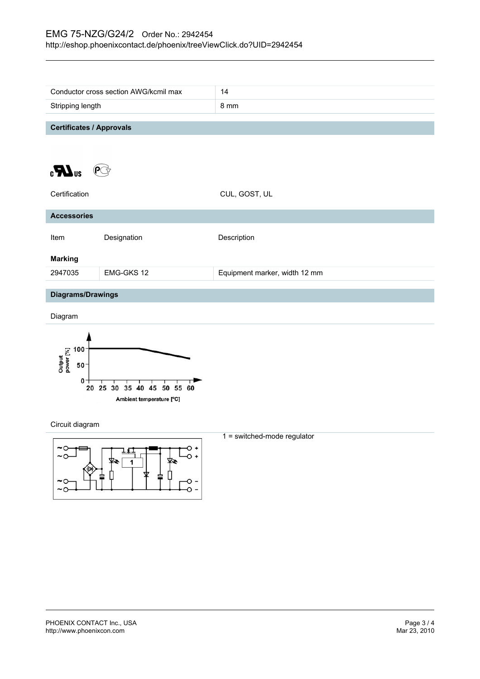|                                   | Conductor cross section AWG/kcmil max | 14                            |
|-----------------------------------|---------------------------------------|-------------------------------|
| Stripping length                  |                                       | 8 mm                          |
|                                   |                                       |                               |
| <b>Certificates / Approvals</b>   |                                       |                               |
|                                   |                                       |                               |
|                                   |                                       |                               |
| $\epsilon$ <b>N</b> <sub>us</sub> |                                       |                               |
|                                   |                                       |                               |
| Certification                     |                                       | CUL, GOST, UL                 |
| <b>Accessories</b>                |                                       |                               |
|                                   |                                       |                               |
| Item                              | Designation                           | Description                   |
|                                   |                                       |                               |
| <b>Marking</b>                    |                                       |                               |
| 2947035                           | EMG-GKS 12                            | Equipment marker, width 12 mm |
| <b>Diagrams/Drawings</b>          |                                       |                               |
|                                   |                                       |                               |
| Diagram                           |                                       |                               |
|                                   |                                       |                               |
|                                   |                                       |                               |
| 100<br>ut<br>ar [%]               |                                       |                               |



Circuit diagram



1 = switched-mode regulator